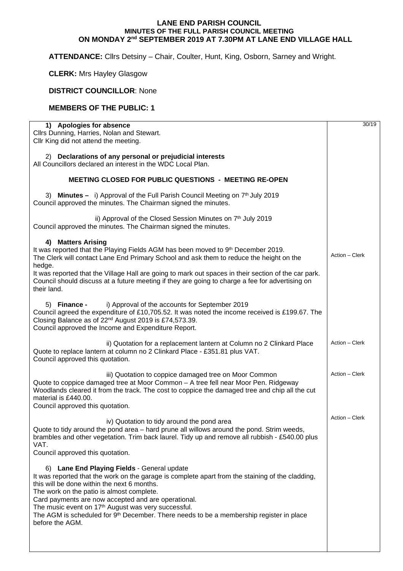## **LANE END PARISH COUNCIL MINUTES OF THE FULL PARISH COUNCIL MEETING ON MONDAY 2nd SEPTEMBER 2019 AT 7.30PM AT LANE END VILLAGE HALL**

**ATTENDANCE:** Cllrs Detsiny – Chair, Coulter, Hunt, King, Osborn, Sarney and Wright.

**CLERK:** Mrs Hayley Glasgow

**DISTRICT COUNCILLOR**: None

## **MEMBERS OF THE PUBLIC: 1**

| 1) Apologies for absence<br>Cllrs Dunning, Harries, Nolan and Stewart.<br>Cllr King did not attend the meeting.                                                                                                                                                                                                                                                                                                                                                                                           | 30/19          |
|-----------------------------------------------------------------------------------------------------------------------------------------------------------------------------------------------------------------------------------------------------------------------------------------------------------------------------------------------------------------------------------------------------------------------------------------------------------------------------------------------------------|----------------|
| 2) Declarations of any personal or prejudicial interests<br>All Councillors declared an interest in the WDC Local Plan.                                                                                                                                                                                                                                                                                                                                                                                   |                |
| <b>MEETING CLOSED FOR PUBLIC QUESTIONS - MEETING RE-OPEN</b>                                                                                                                                                                                                                                                                                                                                                                                                                                              |                |
| 3) Minutes - i) Approval of the Full Parish Council Meeting on 7 <sup>th</sup> July 2019<br>Council approved the minutes. The Chairman signed the minutes.                                                                                                                                                                                                                                                                                                                                                |                |
| ii) Approval of the Closed Session Minutes on 7 <sup>th</sup> July 2019<br>Council approved the minutes. The Chairman signed the minutes.                                                                                                                                                                                                                                                                                                                                                                 |                |
| <b>Matters Arising</b><br>4)<br>It was reported that the Playing Fields AGM has been moved to 9th December 2019.<br>The Clerk will contact Lane End Primary School and ask them to reduce the height on the<br>hedge.<br>It was reported that the Village Hall are going to mark out spaces in their section of the car park.<br>Council should discuss at a future meeting if they are going to charge a fee for advertising on<br>their land.                                                           | Action - Clerk |
| i) Approval of the accounts for September 2019<br>5) Finance -<br>Council agreed the expenditure of £10,705.52. It was noted the income received is £199.67. The<br>Closing Balance as of 22 <sup>nd</sup> August 2019 is £74,573.39.<br>Council approved the Income and Expenditure Report.                                                                                                                                                                                                              |                |
| ii) Quotation for a replacement lantern at Column no 2 Clinkard Place<br>Quote to replace lantern at column no 2 Clinkard Place - £351.81 plus VAT.<br>Council approved this quotation.                                                                                                                                                                                                                                                                                                                   | Action - Clerk |
| iii) Quotation to coppice damaged tree on Moor Common<br>Quote to coppice damaged tree at Moor Common - A tree fell near Moor Pen. Ridgeway<br>Woodlands cleared it from the track. The cost to coppice the damaged tree and chip all the cut<br>material is £440.00.<br>Council approved this quotation.                                                                                                                                                                                                 | Action - Clerk |
| iv) Quotation to tidy around the pond area<br>Quote to tidy around the pond area – hard prune all willows around the pond. Strim weeds,<br>brambles and other vegetation. Trim back laurel. Tidy up and remove all rubbish - £540.00 plus<br>VAT.<br>Council approved this quotation.                                                                                                                                                                                                                     | Action - Clerk |
| <b>Lane End Playing Fields - General update</b><br>6)<br>It was reported that the work on the garage is complete apart from the staining of the cladding,<br>this will be done within the next 6 months.<br>The work on the patio is almost complete.<br>Card payments are now accepted and are operational.<br>The music event on 17 <sup>th</sup> August was very successful.<br>The AGM is scheduled for 9 <sup>th</sup> December. There needs to be a membership register in place<br>before the AGM. |                |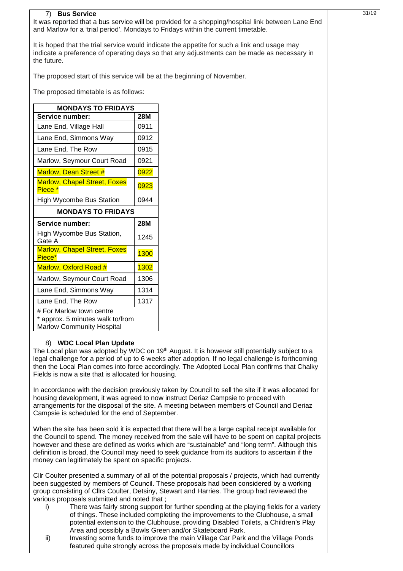| <b>Bus Service</b><br>7)<br>It was reported that a bus service will be provided for a shopping/hospital link between Lane End<br>and Marlow for a 'trial period'. Mondays to Fridays within the current timetable. |                                                                                                  |            |  | 31/19 |
|--------------------------------------------------------------------------------------------------------------------------------------------------------------------------------------------------------------------|--------------------------------------------------------------------------------------------------|------------|--|-------|
| It is hoped that the trial service would indicate the appetite for such a link and usage may<br>indicate a preference of operating days so that any adjustments can be made as necessary in<br>the future.         |                                                                                                  |            |  |       |
|                                                                                                                                                                                                                    | The proposed start of this service will be at the beginning of November.                         |            |  |       |
|                                                                                                                                                                                                                    | The proposed timetable is as follows:                                                            |            |  |       |
|                                                                                                                                                                                                                    | <b>MONDAYS TO FRIDAYS</b>                                                                        |            |  |       |
|                                                                                                                                                                                                                    | Service number:                                                                                  | <b>28M</b> |  |       |
|                                                                                                                                                                                                                    | Lane End, Village Hall                                                                           | 0911       |  |       |
|                                                                                                                                                                                                                    | Lane End, Simmons Way                                                                            | 0912       |  |       |
|                                                                                                                                                                                                                    | Lane End, The Row                                                                                | 0915       |  |       |
|                                                                                                                                                                                                                    | Marlow, Seymour Court Road                                                                       | 0921       |  |       |
|                                                                                                                                                                                                                    | <b>Marlow, Dean Street #</b>                                                                     | 0922       |  |       |
|                                                                                                                                                                                                                    | <b>Marlow, Chapel Street, Foxes</b><br>Piece <sup>*</sup>                                        | 0923       |  |       |
|                                                                                                                                                                                                                    | <b>High Wycombe Bus Station</b>                                                                  | 0944       |  |       |
|                                                                                                                                                                                                                    | <b>MONDAYS TO FRIDAYS</b>                                                                        |            |  |       |
|                                                                                                                                                                                                                    | Service number:                                                                                  | <b>28M</b> |  |       |
|                                                                                                                                                                                                                    | High Wycombe Bus Station,<br>Gate A                                                              | 1245       |  |       |
|                                                                                                                                                                                                                    | <b>Marlow, Chapel Street, Foxes</b><br>Piece*                                                    | 1300       |  |       |
|                                                                                                                                                                                                                    | Marlow, Oxford Road #                                                                            | 1302       |  |       |
|                                                                                                                                                                                                                    | Marlow, Seymour Court Road                                                                       | 1306       |  |       |
|                                                                                                                                                                                                                    | Lane End, Simmons Way                                                                            | 1314       |  |       |
|                                                                                                                                                                                                                    | Lane End, The Row                                                                                | 1317       |  |       |
|                                                                                                                                                                                                                    | # For Marlow town centre<br>* approx. 5 minutes walk to/from<br><b>Marlow Community Hospital</b> |            |  |       |

## 8) **WDC Local Plan Update**

The Local plan was adopted by WDC on 19<sup>th</sup> August. It is however still potentially subject to a legal challenge for a period of up to 6 weeks after adoption. If no legal challenge is forthcoming then the Local Plan comes into force accordingly. The Adopted Local Plan confirms that Chalky Fields is now a site that is allocated for housing.

In accordance with the decision previously taken by Council to sell the site if it was allocated for housing development, it was agreed to now instruct Deriaz Campsie to proceed with arrangements for the disposal of the site. A meeting between members of Council and Deriaz Campsie is scheduled for the end of September.

When the site has been sold it is expected that there will be a large capital receipt available for the Council to spend. The money received from the sale will have to be spent on capital projects however and these are defined as works which are "sustainable" and "long term". Although this definition is broad, the Council may need to seek guidance from its auditors to ascertain if the money can legitimately be spent on specific projects.

Cllr Coulter presented a summary of all of the potential proposals / projects, which had currently been suggested by members of Council. These proposals had been considered by a working group consisting of Cllrs Coulter, Detsiny, Stewart and Harries. The group had reviewed the various proposals submitted and noted that ;

- i) There was fairly strong support for further spending at the playing fields for a variety of things. These included completing the improvements to the Clubhouse, a small potential extension to the Clubhouse, providing Disabled Toilets, a Children's Play Area and possibly a Bowls Green and/or Skateboard Park.
- ii) Investing some funds to improve the main Village Car Park and the Village Ponds featured quite strongly across the proposals made by individual Councillors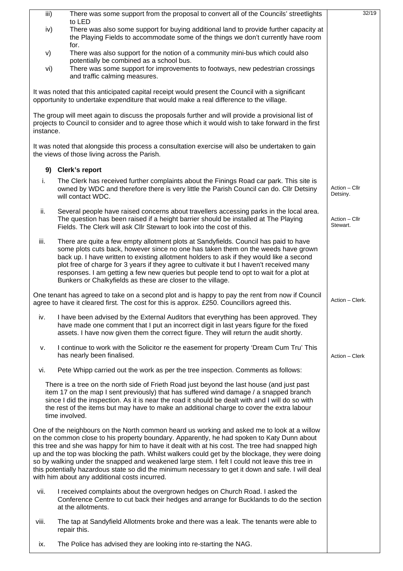| iii)      | There was some support from the proposal to convert all of the Councils' streetlights                                                                                                                                                                                                                                                                                                                                                                                                                                                                                                                                                                     | 32/19                     |
|-----------|-----------------------------------------------------------------------------------------------------------------------------------------------------------------------------------------------------------------------------------------------------------------------------------------------------------------------------------------------------------------------------------------------------------------------------------------------------------------------------------------------------------------------------------------------------------------------------------------------------------------------------------------------------------|---------------------------|
| iv)       | to LED<br>There was also some support for buying additional land to provide further capacity at<br>the Playing Fields to accommodate some of the things we don't currently have room                                                                                                                                                                                                                                                                                                                                                                                                                                                                      |                           |
| V)        | for.<br>There was also support for the notion of a community mini-bus which could also<br>potentially be combined as a school bus.                                                                                                                                                                                                                                                                                                                                                                                                                                                                                                                        |                           |
| vi)       | There was some support for improvements to footways, new pedestrian crossings<br>and traffic calming measures.                                                                                                                                                                                                                                                                                                                                                                                                                                                                                                                                            |                           |
|           | It was noted that this anticipated capital receipt would present the Council with a significant<br>opportunity to undertake expenditure that would make a real difference to the village.                                                                                                                                                                                                                                                                                                                                                                                                                                                                 |                           |
| instance. | The group will meet again to discuss the proposals further and will provide a provisional list of<br>projects to Council to consider and to agree those which it would wish to take forward in the first                                                                                                                                                                                                                                                                                                                                                                                                                                                  |                           |
|           | It was noted that alongside this process a consultation exercise will also be undertaken to gain<br>the views of those living across the Parish.                                                                                                                                                                                                                                                                                                                                                                                                                                                                                                          |                           |
|           | 9) Clerk's report                                                                                                                                                                                                                                                                                                                                                                                                                                                                                                                                                                                                                                         |                           |
| i.        | The Clerk has received further complaints about the Finings Road car park. This site is<br>owned by WDC and therefore there is very little the Parish Council can do. Cllr Detsiny<br>will contact WDC.                                                                                                                                                                                                                                                                                                                                                                                                                                                   | Action - Cllr<br>Detsiny. |
| ii.       | Several people have raised concerns about travellers accessing parks in the local area.<br>The question has been raised if a height barrier should be installed at The Playing<br>Fields. The Clerk will ask Cllr Stewart to look into the cost of this.                                                                                                                                                                                                                                                                                                                                                                                                  | Action - Cllr<br>Stewart. |
| iii.      | There are quite a few empty allotment plots at Sandyfields. Council has paid to have<br>some plots cuts back, however since no one has taken them on the weeds have grown<br>back up. I have written to existing allotment holders to ask if they would like a second<br>plot free of charge for 3 years if they agree to cultivate it but I haven't received many<br>responses. I am getting a few new queries but people tend to opt to wait for a plot at<br>Bunkers or Chalkyfields as these are closer to the village.                                                                                                                               |                           |
|           | One tenant has agreed to take on a second plot and is happy to pay the rent from now if Council<br>agree to have it cleared first. The cost for this is approx. £250. Councillors agreed this.                                                                                                                                                                                                                                                                                                                                                                                                                                                            | Action - Clerk.           |
| iv.       | I have been advised by the External Auditors that everything has been approved. They<br>have made one comment that I put an incorrect digit in last years figure for the fixed<br>assets. I have now given them the correct figure. They will return the audit shortly.                                                                                                                                                                                                                                                                                                                                                                                   |                           |
| v.        | I continue to work with the Solicitor re the easement for property 'Dream Cum Tru' This<br>has nearly been finalised.                                                                                                                                                                                                                                                                                                                                                                                                                                                                                                                                     | Action - Clerk            |
| vi.       | Pete Whipp carried out the work as per the tree inspection. Comments as follows:                                                                                                                                                                                                                                                                                                                                                                                                                                                                                                                                                                          |                           |
|           | There is a tree on the north side of Frieth Road just beyond the last house (and just past<br>item 17 on the map I sent previously) that has suffered wind damage / a snapped branch<br>since I did the inspection. As it is near the road it should be dealt with and I will do so with<br>the rest of the items but may have to make an additional charge to cover the extra labour<br>time involved.                                                                                                                                                                                                                                                   |                           |
|           | One of the neighbours on the North common heard us working and asked me to look at a willow<br>on the common close to his property boundary. Apparently, he had spoken to Katy Dunn about<br>this tree and she was happy for him to have it dealt with at his cost. The tree had snapped high<br>up and the top was blocking the path. Whilst walkers could get by the blockage, they were doing<br>so by walking under the snapped and weakened large stem. I felt I could not leave this tree in<br>this potentially hazardous state so did the minimum necessary to get it down and safe. I will deal<br>with him about any additional costs incurred. |                           |
| vii.      | I received complaints about the overgrown hedges on Church Road. I asked the<br>Conference Centre to cut back their hedges and arrange for Bucklands to do the section<br>at the allotments.                                                                                                                                                                                                                                                                                                                                                                                                                                                              |                           |
| viii.     | The tap at Sandyfield Allotments broke and there was a leak. The tenants were able to<br>repair this.                                                                                                                                                                                                                                                                                                                                                                                                                                                                                                                                                     |                           |
| ix.       | The Police has advised they are looking into re-starting the NAG.                                                                                                                                                                                                                                                                                                                                                                                                                                                                                                                                                                                         |                           |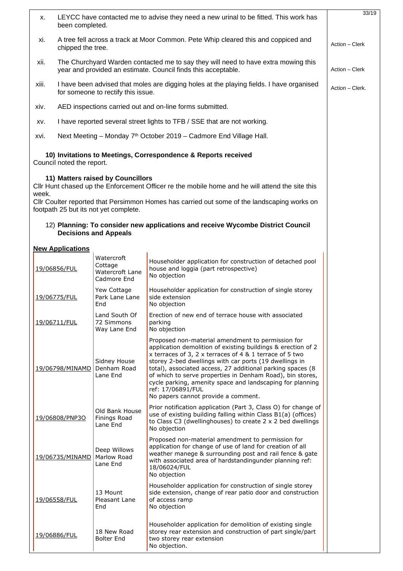| Х.    | LEYCC have contacted me to advise they need a new urinal to be fitted. This work has<br>been completed.                                             |                                                                            |                                                                                                                                                                                                                                                                                                                                                                                                                                                                                            | 33/19 |
|-------|-----------------------------------------------------------------------------------------------------------------------------------------------------|----------------------------------------------------------------------------|--------------------------------------------------------------------------------------------------------------------------------------------------------------------------------------------------------------------------------------------------------------------------------------------------------------------------------------------------------------------------------------------------------------------------------------------------------------------------------------------|-------|
| xi.   | A tree fell across a track at Moor Common. Pete Whip cleared this and coppiced and<br>Action - Clerk<br>chipped the tree.                           |                                                                            |                                                                                                                                                                                                                                                                                                                                                                                                                                                                                            |       |
| xii.  | The Churchyard Warden contacted me to say they will need to have extra mowing this<br>year and provided an estimate. Council finds this acceptable. |                                                                            |                                                                                                                                                                                                                                                                                                                                                                                                                                                                                            |       |
| xiii. | I have been advised that moles are digging holes at the playing fields. I have organised<br>for someone to rectify this issue.                      |                                                                            |                                                                                                                                                                                                                                                                                                                                                                                                                                                                                            |       |
| xiv.  | AED inspections carried out and on-line forms submitted.                                                                                            |                                                                            |                                                                                                                                                                                                                                                                                                                                                                                                                                                                                            |       |
| XV.   |                                                                                                                                                     |                                                                            | I have reported several street lights to TFB / SSE that are not working.                                                                                                                                                                                                                                                                                                                                                                                                                   |       |
| xvi.  |                                                                                                                                                     |                                                                            | Next Meeting - Monday 7 <sup>th</sup> October 2019 - Cadmore End Village Hall.                                                                                                                                                                                                                                                                                                                                                                                                             |       |
|       | Council noted the report.                                                                                                                           |                                                                            | 10) Invitations to Meetings, Correspondence & Reports received                                                                                                                                                                                                                                                                                                                                                                                                                             |       |
| week. |                                                                                                                                                     | 11) Matters raised by Councillors<br>footpath 25 but its not yet complete. | CIIr Hunt chased up the Enforcement Officer re the mobile home and he will attend the site this<br>Cllr Coulter reported that Persimmon Homes has carried out some of the landscaping works on                                                                                                                                                                                                                                                                                             |       |
|       |                                                                                                                                                     | <b>Decisions and Appeals</b>                                               | 12) Planning: To consider new applications and receive Wycombe District Council                                                                                                                                                                                                                                                                                                                                                                                                            |       |
|       | <b>New Applications</b>                                                                                                                             |                                                                            |                                                                                                                                                                                                                                                                                                                                                                                                                                                                                            |       |
|       | 19/06856/FUL                                                                                                                                        | Watercroft<br>Cottage<br>Watercroft Lane<br>Cadmore End                    | Householder application for construction of detached pool<br>house and loggia (part retrospective)<br>No objection                                                                                                                                                                                                                                                                                                                                                                         |       |
|       | 19/06775/FUL                                                                                                                                        | Yew Cottage<br>Park Lane Lane<br>End                                       | Householder application for construction of single storey<br>side extension<br>No objection                                                                                                                                                                                                                                                                                                                                                                                                |       |
|       | 19/06711/FUL                                                                                                                                        | Land South Of<br>72 Simmons<br>Way Lane End                                | Erection of new end of terrace house with associated<br>parking<br>No objection                                                                                                                                                                                                                                                                                                                                                                                                            |       |
|       | 19/06798/MINAMD                                                                                                                                     | Sidney House<br>Denham Road<br>Lane End                                    | Proposed non-material amendment to permission for<br>application demolition of existing buildings & erection of 2<br>x terraces of 3, 2 x terraces of 4 & 1 terrace of 5 two<br>storey 2-bed dwellings with car ports (19 dwellings in<br>total), associated access, 27 additional parking spaces (8<br>of which to serve properties in Denham Road), bin stores,<br>cycle parking, amenity space and landscaping for planning<br>ref: 17/06891/FUL<br>No papers cannot provide a comment. |       |
|       | 19/06808/PNP3O                                                                                                                                      | Old Bank House<br>Finings Road<br>Lane End                                 | Prior notification application (Part 3, Class O) for change of<br>use of existing building falling within Class B1(a) (offices)<br>to Class C3 (dwellinghouses) to create 2 x 2 bed dwellings<br>No objection                                                                                                                                                                                                                                                                              |       |
|       | 19/06735/MINAMD                                                                                                                                     | Deep Willows<br>Marlow Road<br>Lane End                                    | Proposed non-material amendment to permission for<br>application for change of use of land for creation of all<br>weather manege & surrounding post and rail fence & gate<br>with associated area of hardstandingunder planning ref:<br>18/06024/FUL<br>No objection                                                                                                                                                                                                                       |       |
|       | 19/06558/FUL                                                                                                                                        | 13 Mount<br>Pleasant Lane<br>End                                           | Householder application for construction of single storey<br>side extension, change of rear patio door and construction<br>of access ramp<br>No objection                                                                                                                                                                                                                                                                                                                                  |       |
|       | 19/06886/FUL                                                                                                                                        | 18 New Road<br><b>Bolter End</b>                                           | Householder application for demolition of existing single<br>storey rear extension and construction of part single/part<br>two storey rear extension<br>No objection.                                                                                                                                                                                                                                                                                                                      |       |